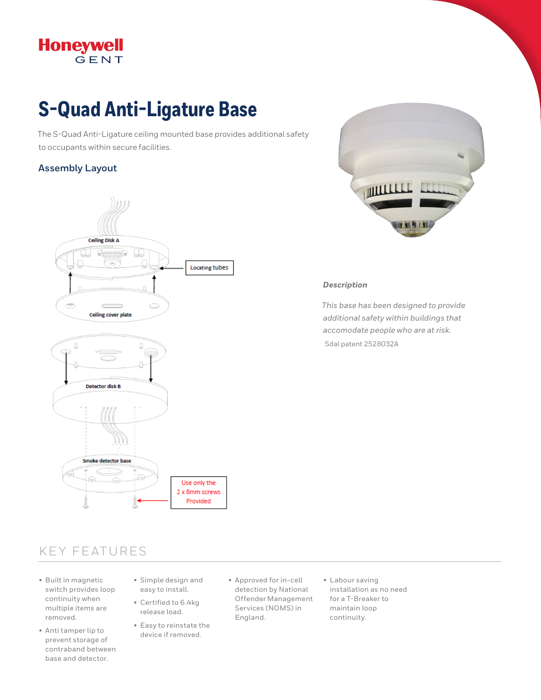# Honeywell

## **S-Quad Anti-Ligature Base**

The S-Quad Anti-Ligature ceiling mounted base provides additional safety to occupants within secure facilities.

#### **Assembly Layout**





#### *Description*

*This base has been designed to provide additional safety within buildings that accomodate people who are at risk.*  Sdal patent 2528032A

### KEY FEATURES

- Built in magnetic switch provides loop continuity when multiple items are removed.
- Anti tamper lip to prevent storage of contraband between base and detector.
- Simple design and easy to install.
- Certified to 6.4kg release load.
- Easy to reinstate the device if removed.
- Approved for in-cell detection by National Offender Management Services (NOMS) in England.
- Labour saving installation as no need for a T-Breaker to maintain loop continuity.